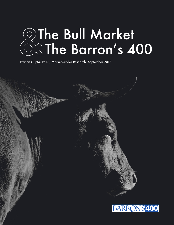# The Bull Market The Barron's 400

Francis Gupta, Ph.D., MarketGrader Research. September 2018



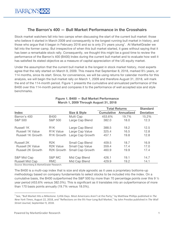### **The Barron's 400 — Bull Market Performance in the Crosshairs**

Stock market watchers fall into two camps when discussing the start of the current bull market: those who believe it started in March 2009 and consequently is the longest running bull market in history, and those who argue that it began in February 2016 and so is only 2½ years young<sup>1</sup>. At MarketGrader we fall into the former camp. But irrespective of when this bull market started, it goes without saying that it has been a remarkable stock rally. Consequently, we thought this might be a good time to review the performance of the Barron's 400 (B400) Index during the current bull market and to evaluate how well it has satisfied its stated objective as a measure of capital appreciation of the US equity market.

Under the assumption that the current bull market is the longest in stock market history, most experts agree that the rally started on March 9, 2009. This means that September 8, 2018, marked 9½ years, or 114 months, since its start. Since, for convenience, we will be using returns for calendar months for this analysis, we will begin the bull market rally on March 1, 2009 and therefore August 31, 2018, will mark the end of the 114-month period. Figure 1 presents the cumulative and annualized performance of the B400 over this 114-month period and compares it to the performance of well accepted size and style benchmarks.

|                         |                        |                         | <b>Total Returns</b> |                   | <b>Standard</b>  |
|-------------------------|------------------------|-------------------------|----------------------|-------------------|------------------|
| Index                   |                        | <b>Size &amp; Style</b> | <b>Cumulative</b>    | <b>Annualized</b> | <b>Deviation</b> |
| Barron's 400            | <b>B400</b>            | Multi Cap               | 453.6%               | 19.7%             | 15.2%            |
| <b>S&amp;P 500</b>      | <b>S&amp;P 500</b>     | Large Cap Blend         | 382.0                | 18.0              | 12.3             |
| Russell 1K              | R <sub>1</sub> K       | Large Cap Blend         | 388.5                | 18.2              | 12.5             |
| <b>Russell 1K Value</b> | R <sub>1</sub> K Value | Large Cap Value         | 325.4                | 16.5              | 12.8             |
| Russell 1K Growth       | <b>R1K Growth</b>      | Large Cap Growth        | 457.1                | 19.8              | 12.8             |
| Russell 2K              | R <sub>2</sub> K       | Small Cap Blend         | 409.5                | 18.7              | 16.9             |
| <b>Russell 2K Value</b> | <b>R2K Value</b>       | <b>Small Cap Value</b>  | 359.4                | 17.4              | 17.0             |
| Russell 2K Growth       | <b>R2K Growth</b>      | Small Cap Growth        | 460.9                | 19.9              | 17.4             |
| S&P Mid Cap             | S&P MC                 | Mid Cap Blend           | 426.1                | 19.1              | 14.7             |
| <b>Russell Mid Cap</b>  | <b>RMC</b>             | Mid Cap Blend           | 429.9                | 19.2              | 14.1             |

#### **Figure 1. B400 — Bull Market Performance March 1, 2009 Through August 31, 2018**

Source: Bloomberg & MarketGrader Research.

The B400 is a multi-cap index that is size and style agnostic as it uses a proprietary bottoms-up methodology based on company fundamentals to select stocks to be included into the index. On a cumulative basis, the B400 outperformed the S&P 500 by more than 70 percentage points over this 9  $\frac{1}{2}$ year period (453.6% versus 382.0%). This is significant as it translates into an outperformance of more than 170 basis points annually (19.7% versus 18.0%).

 $^1$  See, "Bull Market Hits a Milestone: 3,456 Days. Most Americans Aren't at the Party," by Matthew Phillips published in The *New York Times*, August 22, 2018, and "Reflections on the 9½-Year-Long Bull Market," by John Prestbo published in The Wall Street Journal, September 9, 2018.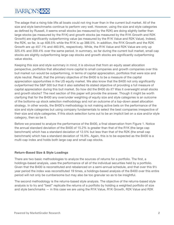## BARRON'S400

The adage that a rising tide lifts all boats could not ring truer than in the current bull market. All of the size and style benchmarks continue to perform very well. However, using the size and style categories as defined by Russell, it seems small stocks (as measured by the R2K) are doing slightly better than large stocks (as measured by the R1K) and growth stocks (as measured by the R1K Growth and R2K Growth) are significantly outperforming value (as measured by the R1K Value and R2K Value). Indeed, the R2K, so far, is up 409.5% while the R1K is up 388.5%. In addition, the R1K Growth and the R2K Growth are up 457.1% and 460.9%, respectively. While, the R1K Value and R2K Value are only up 325.4% and 359.4% over the same period. In summary, so far during the current bull market, small cap stocks are slightly outperforming large cap stocks and growth stocks are significantly outperforming value stocks.

Keeping this size and style summary in mind, it is obvious that from an equity asset allocation perspective, portfolios that allocated more capital to small companies and growth companies over this bull market run would be outperforming, in terms of capital appreciation, portfolios that were size and style neutral. Recall, that the primary objective of the B400 is to be a measure of the capital appreciation opportunities in the US equity market. We also know that the B400 not only significantly outperformed the S&P 500 but that it also satisfied its stated objective of providing a full measure of capital appreciation during this bull market. So how did the B400 do it? Was it overweight small stocks and growth stocks? The next section of this paper will provide the answer. Though it might be worth clarifying that for the B400 any over/under weighting of equity size and style categories is an outcome of the bottoms-up stock selection methodology and *not* an outcome of a top-down asset allocation strategy. In other words, the B400's methodology is not making active bets on the performance of the size and style categories but using company fundamentals to select the best companies irrespective of their size and style categories. If this stock selection turns out to be an implicit bet on a size and/or style category, then so be it.

Before we proceed to analyze the performance of the B400, a final observation from Figure 1. Notice the annual standard deviation of the B400 of 15.2% is greater than that of the R1K (the large cap benchmark) which has a standard deviation of 12.5% but less than that of the R2K (the small cap benchmark) which has a standard deviation of 16.9%. Again, this is to be expected as the B400 is a multi-cap index and holds both large cap and small cap stocks.

#### **Return-Based Size & Style Loadings**

There are two basic methodologies to analyze the sources of returns for a portfolio. The first, a holdings-based analysis, uses the performance of all of the individual securities held by a portfolio. Given that the B400 is reconstituted and rebalanced on a semi-annual schedule, and that over this 9½ year period the index was reconstituted 19 times, a holdings-based analysis of the B400 over this entire period will not only be cumbersome but may also be too granular so as to be insightful.

The second methodology is the returns-based style analysis. The objective of the returns-based style analysis is to try and "best" replicate the returns of a portfolio by holding a weighted portfolio of size and style benchmarks — in this case we are using the R1K Value, R1K Growth, R2K Value and R2K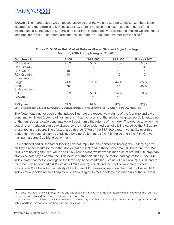Growth<sup>2</sup>. The methodology we employed assumes that the weights add up to 100% (i.e., there is no leverage) and the portfolio is fully invested (i.e., there is no cash holding). In addition, none of the weights could be negative (i.e., there is no shorting). Figure 2 below presents the implied weights (factor loadings) for the B400 and compares the results to the S&P 500 and two mid-cap indexes.<sup>3</sup>

| <b>Benchmark</b>       | <b>B400</b> | <b>S&amp;P 500</b>       | <b>S&amp;P MC</b> | <b>Russell MC</b> |
|------------------------|-------------|--------------------------|-------------------|-------------------|
| R <sub>1</sub> K Value | 20%         | 50%                      | 14%               | 34%               |
| <b>R1K Growth</b>      | 21          | 50                       | 30                | 31                |
| <b>R2K Value</b>       | 19          | $\overline{\phantom{0}}$ | 40                | 16                |
| <b>R2K Growth</b>      | 40          |                          | 16                | 19                |
| Size Loadings:         |             |                          |                   |                   |
| Large                  | 41%         | 100%                     | 44%               | 65%               |
| Small                  | 59          | $\qquad \qquad$          | 56                | 35%               |
| <b>Style Loadings</b>  |             |                          |                   |                   |
| Value                  | 39%         | 50%                      | 54%               | 50%               |
| Growth                 | 61          | 50                       | 46                | 50                |
| R-Square               | 77%         | 97%                      | 87%               | 92%               |

#### **Figure 2. B400 — Bull Market Returns-Based Size and Style Loadings March 1, 2009 Through August 31, 2018**

Source: Returns from Bloomberg. Analysis by MarketGrader Research. "R-Square" is the R-Square from the OLS regression.

The factor loadings for each of the indexes illustrate the respective weights of the four size and style benchmarks. These factor loadings are such that the returns of the implied weighted portfolio (made up of the four size and style benchmarks) will best mimic the returns of the index. The degree to which the actual return variation can be explained by the implied weighted portfolio is indicated by the R-Square presented in the figure. Therefore, a large degree (97%) of the S&P 500's return variability over this period (and in general) can be explained by a portfolio that is 50% R1K Value and 50% R1K Growth making it a Large Cap blend benchmark.

As mentioned earlier, the factor loadings do not imply that the portfolio is holding the underlying size and style benchmarks (or even the stocks that are included in those benchmarks). Therefore, the S&P 500 is not holding the R1K Value and R1K Growth since we know it is made up of around 500 large cap stocks selected by a committee. This point is further clarified by the factor loadings of the Russell MC index. Note that factor loadings to the large cap benchmarks (R1K Value + R1K Growth) is 65% and to the small cap benchmarks (R2K Value + R2K Growth) is 35% and the implied weighted portfolio explains 92% of the return variability of the Russell MC. However, we know that that the Russell MC index actually holds no small cap stocks. According to its methodology, it is made up of the smallest

 $2$  By "best" we mean the weightings for the size and style benchmarks minimize the return variability between the returns of the actual portfolio and the return of the weighted portfolio.

 $3$  These weights are referred to as factor loadings so as to clarify that they are the weights derived from an optimization. The actual portfolio, may or may not, have the implied exposures.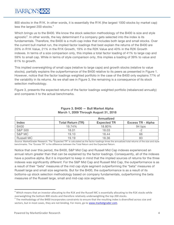800 stocks in the R1K. In other words, it is essentially the R1K (the largest 1000 stocks by market cap) less the largest 200 stocks.<sup>4</sup>

Which brings us to the B400. We know the stock selection methodology of the B400 is size and style agnostic<sup>5</sup>. In other words, the key determinant if a company gets selected into the index is its fundamentals. Therefore, the B400 is a multi-cap index that includes both large and small stocks. Over the current bull market run, the implied factor loadings that best explain the returns of the B400 are 20% in R1K Value, 21% in the R1K Growth, 19% in the R2K Value and 40% in the R2K Growth indexes. In terms of a size comparison only, this implies a total factor loading of 41% to large cap and 59% to small cap. While in terms of style comparison only, this implies a loading of 39% to value and 61% to growth.

This implied overweighting of small caps (relative to large caps) and growth stocks (relative to value stocks), partially explains the outperformance of the B400 relative to its peers as presented in Figure 1. However, notice that the factor loadings weighted portfolio in the case of the B400 only explains 77% of the variability in its returns. As we shall see in Figure 3, the remaining is a consequence of its stock selection methodology.

Figure 3, presents the expected returns of the factor loadings weighted portfolio (rebalanced annually) and compares it to the actual benchmarks.

|                    | <b>Annualized</b>        |                    |                          |  |
|--------------------|--------------------------|--------------------|--------------------------|--|
| <b>Index</b>       | <b>Total Return (TR)</b> | <b>Expected TR</b> | <b>Excess TR - Alpha</b> |  |
| <b>B400</b>        | 19.74%                   | 18.80%             | 94 bps                   |  |
| <b>S&amp;P 500</b> | 18.01                    | 18.03              |                          |  |
| S&P MC             | 19.10                    | 18.44              | 66                       |  |
| <b>Russell MC</b>  | 19.19                    | 18.36              | 83                       |  |

#### **Figure 3. B400 — Bull Market Alpha March 1, 2009 Through August 31, 2018**

Source: MarketGrader Research. The "Expected TR" is calculated as the factor loadings times the annualized total returns of the size and style benchmarks. The "Excess TR" is the difference between the Total Return and the Expected Return.

Notice that over this period, the B400, S&P Mid Cap and Russell Mid Cap indexes experienced an annual return greater than that can be explained by the factor loadings. Consequently, all of the indexes have a positive alpha. But it is important to keep in mind that the implied sources of returns for the three indexes was significantly different: For the S&P Mid Cap and Russell Mid Cap, the outperformance is as a result of their "beta" measures of the mid cap style segment outperforming the "beta" measures of Russell large and small size segments. But for the B400, the outperformance is as a result of its bottoms-up stock selection methodology based on company fundamentals, outperforming the beta measures of the Russell large, small and mid-cap size segments.

 $4$  Which means that an investor allocating to the R1K and the Russell MC is essentially allocating to the R1K stocks while overweighting the bottom 800 stocks and therefore relatively underweighting the top 200 stocks.

 $5$  The methodology of the B400 incorporates constraints to ensure that the resulting index is diversified across size and sectors, but in most cases, they are not binding. For more, go to www.marketgrader.com.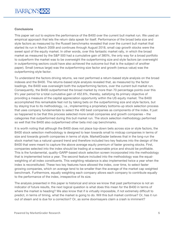#### **Conclusions**

This paper set out to explore the performance of the B400 over the current bull market run. We used an empirical approach that lets the return data speak for itself. Performance of the broad beta size and style factors as measured by the Russell benchmarks revealed that over the current bull market that started its run in March 2009 and continues through August 2018, small cap growth stocks were the sweet spot of the equity market. In other words, over this fantastic market rally, in which the broad market as measured by the S&P 500 had a cumulative gain of 380%, the only way for a broad portfolio to outperform the market was to be overweight the outperforming size and style factors (an overweight in outperforming sectors could have also achieved the outcome but that is the subject of another paper). Small (versus large) was the outperforming size factor and growth (versus value) was the outperforming style factor.

To understand the factors driving returns, we next performed a return-based style analysis on the broad indexes and the B400. The returns-based style analysis revealed that, as measured by the factor loadings, the B400 was overweight both the outperforming factors, over the current bull market run. Consequently, the B400 outperformed the broad market by more than 70 percentage points over this 9½ year period for a total cumulative gain of 452.6%, thereby, satisfying its primary objective of providing a measure of the capital appreciation opportunity within the US equity market. The B400 accomplished this remarkable feat not by taking bets on the outperforming size and style factors, but by staying true to its methodology, i.e., implementing a proprietary bottoms-up stock selection process that uses company fundamentals to select the 400 best companies as components of the index. It just so happened to be that this process selected more small companies and growth companies – the categories that outperformed during this bull market run. The stock selection methodology performed so well that the B400 also outperformed other beta mid cap benchmarks.

It is worth noting that although the B400 does not place top-down bets across size or style factors, the B400 stock selection methodology is designed to lean towards small to midcap companies in terms of size and towards growth companies in terms of style. MarketGrader believes that in the long-run the stock market has a natural upward trend and therefore included two key features into the design of the B400 that were meant to capture the above average equity premium of faster growing stocks. First, companies selected into the index should be trading at a reasonable price and should be profitable. This is the fundamental, quality-GARP-based stock selection screen incorporated into the methodology that is implemented twice a year. The second feature included into the methodology was the equalweighting of all index constituents. This weighting rebalance is also implemented twice a year when the index is reconstituted. These two key features have allowed the index, over time, to select faster growing companies, which on average tend to be smaller than the average of the market cap weighted benchmark. Furthermore, equally weighting each company allows each company to contribute equally to the performance of the index, irrespective of its size.

The analysis presented in this paper is historical and since we know that past performance is not an indicator of future results, the next logical question is what does this mean for the B400 in terms of where the market is heading? We also know that if is virtually impossible, if not extremely difficult to predict, in terms of timing, what the market is going to do. Will this bull market continue? Or, has it run out of steam and is due for a correction? Or, as some doomsayers claim a crash is imminent?